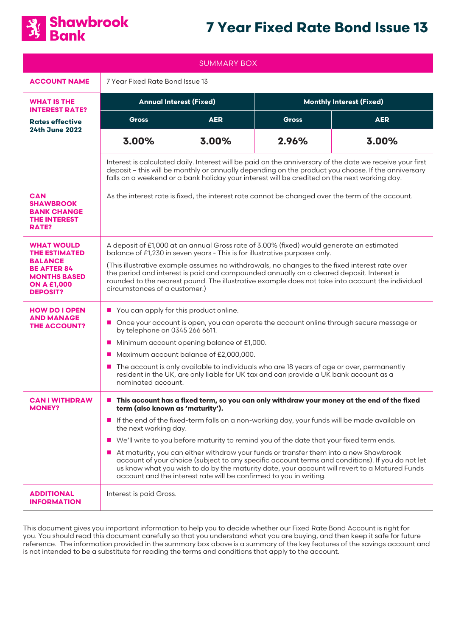

# **7 Year Fixed Rate Bond Issue 13**

| <b>SUMMARY BOX</b>                                                                                                                                |                                                                                                                                                                                                                                                                                                                                                                                                                                                                                                                                                                                                                                                                                                                                                                                                       |            |                                 |            |
|---------------------------------------------------------------------------------------------------------------------------------------------------|-------------------------------------------------------------------------------------------------------------------------------------------------------------------------------------------------------------------------------------------------------------------------------------------------------------------------------------------------------------------------------------------------------------------------------------------------------------------------------------------------------------------------------------------------------------------------------------------------------------------------------------------------------------------------------------------------------------------------------------------------------------------------------------------------------|------------|---------------------------------|------------|
| <b>ACCOUNT NAME</b>                                                                                                                               | 7 Year Fixed Rate Bond Issue 13                                                                                                                                                                                                                                                                                                                                                                                                                                                                                                                                                                                                                                                                                                                                                                       |            |                                 |            |
| <b>WHAT IS THE</b><br><b>INTEREST RATE?</b>                                                                                                       | <b>Annual Interest (Fixed)</b>                                                                                                                                                                                                                                                                                                                                                                                                                                                                                                                                                                                                                                                                                                                                                                        |            | <b>Monthly Interest (Fixed)</b> |            |
| <b>Rates effective</b><br><b>24th June 2022</b>                                                                                                   | Gross                                                                                                                                                                                                                                                                                                                                                                                                                                                                                                                                                                                                                                                                                                                                                                                                 | <b>AER</b> | <b>Gross</b>                    | <b>AER</b> |
|                                                                                                                                                   | 3.00%                                                                                                                                                                                                                                                                                                                                                                                                                                                                                                                                                                                                                                                                                                                                                                                                 | 3.00%      | 2.96%                           | 3.00%      |
|                                                                                                                                                   | Interest is calculated daily. Interest will be paid on the anniversary of the date we receive your first<br>deposit - this will be monthly or annually depending on the product you choose. If the anniversary<br>falls on a weekend or a bank holiday your interest will be credited on the next working day.                                                                                                                                                                                                                                                                                                                                                                                                                                                                                        |            |                                 |            |
| <b>CAN</b><br><b>SHAWBROOK</b><br><b>BANK CHANGE</b><br><b>THE INTEREST</b><br>RATE?                                                              | As the interest rate is fixed, the interest rate cannot be changed over the term of the account.                                                                                                                                                                                                                                                                                                                                                                                                                                                                                                                                                                                                                                                                                                      |            |                                 |            |
| <b>WHAT WOULD</b><br><b>THE ESTIMATED</b><br><b>BALANCE</b><br><b>BE AFTER 84</b><br><b>MONTHS BASED</b><br><b>ON A £1,000</b><br><b>DEPOSIT?</b> | A deposit of £1,000 at an annual Gross rate of 3.00% (fixed) would generate an estimated<br>balance of £1,230 in seven years - This is for illustrative purposes only.<br>(This illustrative example assumes no withdrawals, no changes to the fixed interest rate over<br>the period and interest is paid and compounded annually on a cleared deposit. Interest is<br>rounded to the nearest pound. The illustrative example does not take into account the individual<br>circumstances of a customer.)                                                                                                                                                                                                                                                                                             |            |                                 |            |
| <b>HOW DO I OPEN</b><br><b>AND MANAGE</b><br><b>THE ACCOUNT?</b>                                                                                  | You can apply for this product online.<br>$\mathcal{L}_{\mathcal{A}}$<br>Once your account is open, you can operate the account online through secure message or<br>ш<br>by telephone on 0345 266 6611.<br>Minimum account opening balance of £1,000.<br>ш<br>Maximum account balance of £2,000,000.<br>$\mathbf{r}$<br>The account is only available to individuals who are 18 years of age or over, permanently<br>ш<br>resident in the UK, are only liable for UK tax and can provide a UK bank account as a<br>nominated account.                                                                                                                                                                                                                                                                 |            |                                 |            |
| <b>CAN I WITHDRAW</b><br><b>MONEY?</b>                                                                                                            | This account has a fixed term, so you can only withdraw your money at the end of the fixed<br>$\mathcal{L}_{\mathcal{A}}$<br>term (also known as 'maturity').<br>If the end of the fixed-term falls on a non-working day, your funds will be made available on<br>the next working day.<br>We'll write to you before maturity to remind you of the date that your fixed term ends.<br>$\mathcal{L}_{\mathcal{A}}$<br>At maturity, you can either withdraw your funds or transfer them into a new Shawbrook<br>$\mathbf{r}$<br>account of your choice (subject to any specific account terms and conditions). If you do not let<br>us know what you wish to do by the maturity date, your account will revert to a Matured Funds<br>account and the interest rate will be confirmed to you in writing. |            |                                 |            |
| <b>ADDITIONAL</b><br><b>INFORMATION</b>                                                                                                           | Interest is paid Gross.                                                                                                                                                                                                                                                                                                                                                                                                                                                                                                                                                                                                                                                                                                                                                                               |            |                                 |            |

This document gives you important information to help you to decide whether our Fixed Rate Bond Account is right for you. You should read this document carefully so that you understand what you are buying, and then keep it safe for future reference. The information provided in the summary box above is a summary of the key features of the savings account and is not intended to be a substitute for reading the terms and conditions that apply to the account.